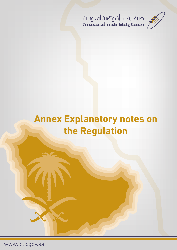

# حميئة الاتصالات وتقنية المعلومات<br>Communications and Information Technology Commission

# **Annex Explanatory notes on the Regulation**

www.citc.gov.sa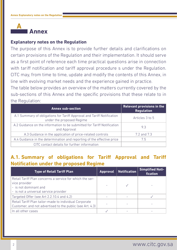

#### **Explanatory notes on the Regulation**

The purpose of this Annex is to provide further details and clarifications on certain provisions of the Regulation and their implementation. It should serve as a first point of reference each time practical questions arise in connection with tariff notification and tariff approval procedure s under the Regulation. CITC may, from time to time, update and modify the contents of this Annex, in line with evolving market needs and the experience gained in practice.

The table below provides an overview of the matters currently covered by the sub-sections of this Annex and the specific provisions that these relate to in the Regulation:

| <b>Annex sub-section</b>                                                                            | <b>Relevant provisions in the</b><br><b>Regulation</b> |
|-----------------------------------------------------------------------------------------------------|--------------------------------------------------------|
| A.1 Summary of obligations for Tariff Approval and Tariff Notification<br>under the proposed Regime | Articles 3 to 5                                        |
| A.2 Guidance on the information to be submitted for Tariff Notification<br>and Approval             | 9.3                                                    |
| A.3 Guidance in the application of price-related controls                                           | 7.2 and 7.3                                            |
| A.4 Guidance in the determination and reporting of the effective price                              | 7.5                                                    |
| CITC contact details for further information                                                        |                                                        |

# **A.1. Summary of obligations for Tariff Approval and Tariff Notification under the proposed Regime**

| <b>Type of Retail Tariff Plan</b>                                                                                                           | Approval Notification | <b>Simplified Noti-</b><br>fication |
|---------------------------------------------------------------------------------------------------------------------------------------------|-----------------------|-------------------------------------|
| Retail Tariff Plan concerns a service for which the ser-<br>vice provider<br>- is not dominant and<br>- is not a universal service provider |                       |                                     |
| Targeted Offer (see Art 2.2.10.4 and 4.2)                                                                                                   |                       |                                     |
| Retail Tariff Plan tailor-made to individual Corporate<br>Customer, and not advertised to the public (see Art. 4.3)                         |                       |                                     |
| In all other cases                                                                                                                          |                       |                                     |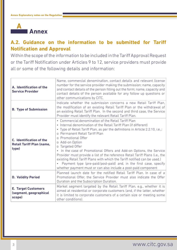

# **A.2. Guidance on the information to be submitted for Tariff Notification and Approval**

Within the scope of the information to be included in the Tariff Approval Request or the Tariff Notification under Articles 9 to 12, service providers must provide all or some of the following details and information:

| A. Identification of the<br><b>Service Provider</b>                          | Name, commercial denomination, contact details and relevant license<br>number for the service provider making the submission; name, capacity<br>and contact details of the person filling out the form; name, capacity and<br>contact details of the person available for any follow up questions or<br>other communications by CITC.                                                                                                                                                                                                                                                                                                                                                           |
|------------------------------------------------------------------------------|-------------------------------------------------------------------------------------------------------------------------------------------------------------------------------------------------------------------------------------------------------------------------------------------------------------------------------------------------------------------------------------------------------------------------------------------------------------------------------------------------------------------------------------------------------------------------------------------------------------------------------------------------------------------------------------------------|
| <b>B. Type of Submission</b>                                                 | Indicate whether the submission concerns a new Retail Tariff Plan,<br>the modification of an existing Retail Tariff Plan or the withdrawal of<br>an existing Retail Tariff Plan. In the second and third case, the Service<br>Provider must identify the relevant Retail Tariff Plan.                                                                                                                                                                                                                                                                                                                                                                                                           |
| <b>C.</b> Identification of the<br><b>Retail Tariff Plan (name,</b><br>type) | • Commercial denomination of the Retail Tariff Plan<br>• Internal denomination of the Retail Tariff Plan (if different)<br>• Type of Retail Tariff Plan, as per the definitions in Article 2.2.10, i.e.,:<br>o Permanent Retail Tariff Plan<br>o Promotional Offer<br>o Add-on Option<br>o Targeted Offer<br>In the case of Promotional Offers and Add-on Options, the Service<br>Provider must provide a list of the reference Retail Tariff Plans (i.e., the<br>existing Retail Tariff Plans with which the Tariff notified can be used.)<br>Payment type (pre-paid/post-paid) and, in the first case, specify<br>$\bullet$<br>whether payment must or can also include a post-paid component |
| <b>D. Validity Period</b>                                                    | Planned launch date for the notified Retail Tariff Plan. In case of a<br>Promotional Offer, the Service Provider must also indicate the Offer<br>Duration and the Subscription Duration.                                                                                                                                                                                                                                                                                                                                                                                                                                                                                                        |
| <b>E. Target Customers</b><br>(segment, geographical<br>scope)               | Market segment targeted by the Retail Tariff Plan, e.g., whether it is<br>aimed at residential or corporate customers (and, if the latter, whether<br>it is limited to corporate customers of a certain size or meeting some<br>other conditions).                                                                                                                                                                                                                                                                                                                                                                                                                                              |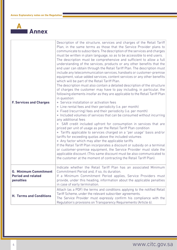

| <b>F. Services and Charges</b>                                         | Description of the structure, services and charges of the Retail Tariff<br>Plan, in the same terms as those that the Service Provider plans to<br>communicate to subscribers. The description of the services and charges<br>must be written in plain language, so as to be accessible to end users.<br>The description must be comprehensive and sufficient to allow a full<br>understanding of the services, products or any other benefits that the<br>end user can obtain through the Retail Tariff Plan. The description must<br>include any telecommunication services, handsets or customer-premise<br>equipment, value-added services, content services or any other benefits<br>which will be part of the Retail Tariff Plan.<br>The description must also contain a detailed description of the structure<br>of charges the customer may have to pay including, in particular, the<br>following elements insofar as they are applicable to the Retail Tariff Plan<br>in question:<br>◈ Service installation or activation fees<br>• Line rental fees and their periodicity (i.e. per month)<br>◈ Fixed (recurring) fees and their periodicity (i.e. per month)<br>• Included volumes of services that can be consumed without incurring<br>any additional fees<br>• SAR credit included upfront for consumption in services that are<br>priced per unit of usage as per the Retail Tariff Plan condition<br>• Tariffs applicable to services charged on a "per usage" basis and/or<br>tariffs for exceeding quotas above the included volumes<br>• Any factor which may alter the applicable tariffs<br>If the Retail Tariff Plan incorporates a discount or subsidy on a terminal<br>or customer-premise equipment, the Service Provider must state the<br>applicable discount. (This same discount must be also communicated to<br>the customer at the moment of contracting the Retail Tariff Plan). |
|------------------------------------------------------------------------|-------------------------------------------------------------------------------------------------------------------------------------------------------------------------------------------------------------------------------------------------------------------------------------------------------------------------------------------------------------------------------------------------------------------------------------------------------------------------------------------------------------------------------------------------------------------------------------------------------------------------------------------------------------------------------------------------------------------------------------------------------------------------------------------------------------------------------------------------------------------------------------------------------------------------------------------------------------------------------------------------------------------------------------------------------------------------------------------------------------------------------------------------------------------------------------------------------------------------------------------------------------------------------------------------------------------------------------------------------------------------------------------------------------------------------------------------------------------------------------------------------------------------------------------------------------------------------------------------------------------------------------------------------------------------------------------------------------------------------------------------------------------------------------------------------------------------------------------------------------------------------------------------------------------|
| <b>G. Minimum Commitment</b><br><b>Period and related</b><br>penalties | Indicate whether the Retail Tariff Plan has an associated Minimum<br>Commitment Period and, if so, its duration.<br>If a Minimum Commitment Period applies, Service Providers must<br>provide, under this heading, information about the applicable penalties<br>in case of early termination.                                                                                                                                                                                                                                                                                                                                                                                                                                                                                                                                                                                                                                                                                                                                                                                                                                                                                                                                                                                                                                                                                                                                                                                                                                                                                                                                                                                                                                                                                                                                                                                                                    |
| <b>H. Terms and Conditions</b>                                         | Attach (as a PDF) the terms and conditions applying to the notified Retail<br>Tariff Scheme, under the relevant subscriber agreements.<br>The Service Provider must expressly confirm his compliance with the<br>Regulation's provisions on Transparency Requirements (Article 6).                                                                                                                                                                                                                                                                                                                                                                                                                                                                                                                                                                                                                                                                                                                                                                                                                                                                                                                                                                                                                                                                                                                                                                                                                                                                                                                                                                                                                                                                                                                                                                                                                                |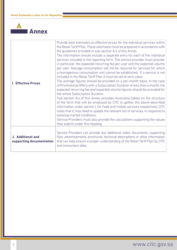

| <b>I. Effective Prices</b>                    | Provide best estimates on effective prices for the individual services within<br>the Retail Tariff Plan. These estimates must be prepared in accordance with<br>the guidelines provided in sub-section A.4 of this Annex.<br>The information should include a separate entry for each of the individual<br>services included in the reporting form. The service provider must provide,<br>in particular, the expected recurring fee per user and the expected volume<br>per user. Average consumption will not be required for services for which<br>a homogenous consumption unit cannot be established. If a service is not<br>included in the Retail Tariff Plan it must be set at zero value.<br>The average figures should be provided on a per-month basis. In the case<br>of Promotional Offers with a Subscription Duration of less than a month, the<br>expected recurring fee and expected volume figures should be provided for<br>the whole Subscription Duration.<br>Sub-section A.4 of this Annex provides illustrative tables on the structure<br>of the form that will be employed by CITC to gather the above-described<br>information under section I, for fixed and mobile services respectively. CITC<br>notes that it may need to update the relevant list of services, in response to<br>evolving market conditions.<br>Service Providers must also provide the calculations supporting the values<br>they submit under this heading. |
|-----------------------------------------------|-------------------------------------------------------------------------------------------------------------------------------------------------------------------------------------------------------------------------------------------------------------------------------------------------------------------------------------------------------------------------------------------------------------------------------------------------------------------------------------------------------------------------------------------------------------------------------------------------------------------------------------------------------------------------------------------------------------------------------------------------------------------------------------------------------------------------------------------------------------------------------------------------------------------------------------------------------------------------------------------------------------------------------------------------------------------------------------------------------------------------------------------------------------------------------------------------------------------------------------------------------------------------------------------------------------------------------------------------------------------------------------------------------------------------------------------------------------|
| J. Additional and<br>supporting documentation | Service Providers can provide any additional notes, documents, supporting<br>files, advertisements, brochures, technical descriptions or other information<br>that can help ensure a proper understanding of the Retail Tariff Plan by CITC<br>and consumers alike.                                                                                                                                                                                                                                                                                                                                                                                                                                                                                                                                                                                                                                                                                                                                                                                                                                                                                                                                                                                                                                                                                                                                                                                         |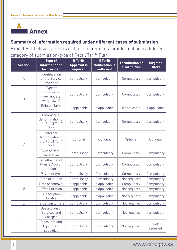

**Summary of information required under different cases of submission**  Exhibit A. 1 below summarizes the requirements for information by different category of submission/type of Retail Tariff Plan

| <b>Section</b>           | <b>Type of</b><br>information to<br>be provided            | <b>If Tariff</b><br><b>Approval is</b><br>required | <b>If Tariff</b><br><b>Notification is</b><br>sufficient | <b>Termination of</b><br>a Tariff Plan | <b>Targeted</b><br><b>Offers</b> |
|--------------------------|------------------------------------------------------------|----------------------------------------------------|----------------------------------------------------------|----------------------------------------|----------------------------------|
| $\mathsf A$              | Identification<br>of the Service<br>Provider               | Compulsory                                         | Compulsory                                               | Compulsory                             | Compulsory                       |
| $\mathsf B$              | Type of<br>Submission<br>(new, update,<br>withdrawal)      | Compulsory                                         | Compulsory                                               | Compulsory                             | Compulsory                       |
|                          | <b>Related Tariff</b><br>Plan                              | If applicable                                      | If applicable                                            | If applicable                          | If applicable                    |
|                          | Commercial<br>denomination of<br>the Retail Tariff<br>Plan | Compulsory                                         | Compulsory                                               | Compulsory                             | Compulsory                       |
| $\mathbb C$              | Internal<br>denomination of<br>the Retail Tariff<br>Plan   | Optional                                           | Optional                                                 | Optional                               | Optional                         |
|                          | Type of Retail<br><b>Tariff Plan</b>                       | Compulsory                                         | Compulsory                                               | Compulsory                             | Compulsory                       |
|                          | <b>Whether Tariff</b><br>Plan is Add-on<br>option          | Compulsory                                         | Compulsory                                               | Compulsory                             | Compulsory                       |
|                          | Payment type                                               | Compulsory                                         | Compulsory                                               | Compulsory                             | Compulsory                       |
|                          | Date of launch                                             | Compulsory                                         | Compulsory                                               | Not required                           | Compulsory                       |
|                          | Date of removal                                            | If applicable                                      | If applicable                                            | Compulsory                             | Compulsory                       |
| D                        | <b>Offer Duration</b>                                      | If applicable                                      | If applicable                                            | Not required                           | Compulsory                       |
| Subscription<br>Duration |                                                            | If applicable                                      | If applicable                                            | Not required                           | Compulsory                       |
| E                        | Target customers                                           | Compulsory                                         | Compulsory                                               | Not required                           | Compulsory                       |
| F                        | Description of<br>Services and<br>Charges                  | Compulsory                                         | Compulsory                                               | Not required                           | Compulsory                       |
|                          | Discounts and<br>Equipment<br>subsidies                    | Compulsory                                         | Compulsory                                               | Not required                           | Not<br>required                  |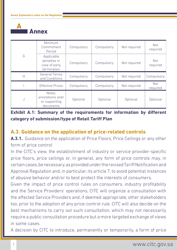

|              | Minimum<br>Commitment<br>Period                            |            | Compulsory | Not required | <b>Not</b><br>required |
|--------------|------------------------------------------------------------|------------|------------|--------------|------------------------|
| G            | Applicable<br>penalties in<br>case of early<br>termination | Compulsory | Compulsory | Not required | <b>Not</b><br>required |
| $\mathsf{H}$ | <b>General Terms</b><br>and Conditions                     | Compulsory | Compulsory | Not required | Compulsory             |
|              | <b>Effective Prices</b>                                    | Compulsory | Compulsory | Not required | Not<br>required        |
|              | Notes,<br>annotations and/<br>or supporting<br>documents   | Optional   | Optional   | Optional     | Optional               |

### **Exhibit A.1: Summary of the requirements for information by different category of submission/type of Retail Tariff Plan**

# **A.3. Guidance on the application of price-related controls**

**A.3.1.** Guidance on the application of Price Floors, Price Ceilings or any other form of price control

In the CITC's view, the establishment of industry or service provider-specific price floors, price ceilings or, in general, any form of price controls may, in certain cases, be necessary, as provided under the revised Tariff Notification and Approval Regulation and, in particular, its article 7, to avoid potential instances of abusive behavior and/or to best protect the interests of consumers.

Given the impact of price control rules on consumers, industry profitability and the Service Providers' operations, CITC will organize a consultation with the affected Service Providers and, if deemed appropriate, other stakeholders too, prior to the adoption of any price-control rule. CITC will also decide on the best mechanisms to carry out such consultation, which may not necessarily require a public consultation procedure but a more targeted exchange of views in some cases.

A decision by CITC to introduce, permanently or temporarily, a form of price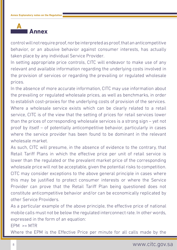

control will not require proof, nor be interpreted as proof, that an anticompetitive behavior, or an abusive behavior against consumer interests, has actually taken place by any individual Service Provider.

In setting appropriate price controls, CITC will endeavor to make use of any relevant and available information regarding the underlying costs involved in the provision of services or regarding the prevailing or regulated wholesale prices.

In the absence of more accurate information, CITC may use information about the prevailing or regulated wholesale prices, as well as benchmarks, in order to establish cost-proxies for the underlying costs of provision of the services. Where a wholesale service exists which can be clearly related to a retail service, CITC is of the view that the setting of prices for retail services lower than the prices of corresponding wholesale services is a strong sign – yet not proof by itself – of potentially anticompetitive behavior, particularly in cases where the service provider has been found to be dominant in the relevant wholesale market.

As such, CITC will presume, in the absence of evidence to the contrary, that Retail Tariff Plans in which the effective price per unit of retail service is lower than the regulated or the prevalent market price of the corresponding wholesale price will not be acceptable, given the potential risks to competition. CITC may consider exceptions to the above general principle in cases where this may be justified to protect consumer interests or where the Service Provider can prove that the Retail Tariff Plan being questioned does not constitute anticompetitive behavior and/or can be economically replicated by other Service Providers.

As a particular example of the above principle, the effective price of national mobile calls must not be below the regulated interconnect rate. In other words, expressed in the form of an equation:

 $FPM$  >= MTR

Where the EPM is the Effective Price per minute for all calls made by the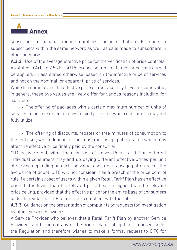

subscriber to national mobile numbers, including both calls made to subscribers within the same network as well as calls made to subscribers in other networks.

**A.3.2.** Use of the average effective price for the verification of price controls As stated in Article 7.5.2Error! Reference source not found., price controls will be applied, unless stated otherwise, based on the effective price of services and not on the nominal (or apparent) price of services.

While the nominal and the effective price of a service may have the same value, in general these two values are likely differ for various reasons including, for example:

→ The offering of packages with a certain maximum number of units of services to be consumed at a given fixed price and which consumers may not fully utilize.

→ The offering of discounts, rebates or free minutes of consumption to the end user, which depend on the consumer usage patterns and which may alter the effective price finally paid by the consumer.

CITC is aware that, within the user base of a given Retail Tariff Plan, different individual consumers may end up paying different effective prices per unit of service depending on each individual consumer's usage patterns. For the avoidance of doubt, CITC will not consider it as a breach of the price control rule if a certain subset of users within a given Retail Tariff Plan has an effective price that is lower than the relevant price floor, or higher than the relevant price ceiling, provided that the effective price for the entire base of consumers under the Retail Tariff Plan remains compliant with the rule.

**A.3.3.** Guidance on the presentation of complaints or requests for investigation by other Service Providers

A Service Provider who believes that a Retail Tariff Plan by another Service Provider is in breach of any of the price-related obligations imposed under the Regulation and therefore wishes to make a formal request to CITC for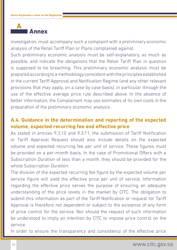

investigation, must accompany such a complaint with a preliminary economic analysis of the Retail Tariff Plan or Plans complained against.

Such preliminary economic analysis must be self-explanatory, as much as possible, and indicate the obligations that the Retail Tariff Plan in question is supposed to be breaching. This preliminary economic analysis must be prepared according to a methodology consistent with the principles established in the current Tariff Approval and Notification Regime (and any other relevant provisions that may apply, on a case by case basis), in particular through the use of the effective average price rule described above. In the absence of better information, the Complainant may use estimates of its own costs in the preparation of the preliminary economic analysis.

# **A.4. Guidance in the determination and reporting of the expected volume, expected recurring fee and effective price**

As stated in articles 9.3.10 and 9.3.11, the submission of Tariff Notification or Tariff Approval Request should also include details on the expected volume and expected recurring fee per unit of service. These figures must be provided on a per-month basis. In the case of Promotional Offers with a Subscription Duration of less than a month, they should be provided for the whole Subscription Duration.

The division of the expected recurring fee figure by the expected volume per service figure will yield the effective price per unit of service. Information regarding the effective price serves the purpose of ensuring an adequate understanding of the price levels in the market by CITC. The obligation to submit this information as part of the Tariff Notification or request for Tariff Approval is therefore not dependent or subject to the existence of any form of price control for the service. Nor should the request of such information be understood to imply an intention by CITC to impose price control on the service.

In order to ensure the transparency and consistency of the effective price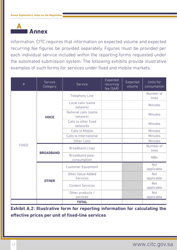

information, CITC requires that information on expected volume and expected recurring fee figures be provided separately. Figures must be provided per each individual service included within the reporting forms requested under the automated submission system. The following exhibits provide illustrative examples of such forms for services under fixed and mobile markets.

| $\#$         | Service<br>Category | Service                              | Expected<br>recurring<br>fee (SAR) | Expected<br>volume | Units for<br>consumption |
|--------------|---------------------|--------------------------------------|------------------------------------|--------------------|--------------------------|
|              |                     | Telephony Line                       |                                    |                    | Number of<br>lines       |
|              |                     | Local calls (same<br>network)        |                                    |                    | <b>Minutes</b>           |
|              | <b>VOICE</b>        | National calls (same<br>network)     |                                    |                    | Minutes                  |
|              |                     | Calls to other fixed<br>networks     |                                    |                    | Minutes                  |
|              | <b>BROADBAND</b>    | Calls to Mobile                      |                                    |                    | Minutes                  |
|              |                     | Calls to International               |                                    |                    | Minutes                  |
|              |                     | Other Calls                          |                                    |                    | Minutes                  |
| <b>FIXED</b> |                     | <b>Broadband Lines</b>               |                                    |                    | Number of<br>lines       |
|              |                     | Broadband data-<br>consumption       |                                    |                    | <b>MBs</b>               |
|              |                     | <b>Customer Equipment</b>            |                                    |                    | <b>Not</b><br>applicable |
|              | <b>OTHER</b>        | Other Value-Added<br><b>Services</b> |                                    |                    | <b>Not</b><br>applicable |
|              |                     | <b>Content Services</b>              |                                    |                    | Not<br>applicable        |
|              |                     | Other products /<br>services         |                                    |                    | Not<br>applicable        |
|              |                     | <b>TOTAL</b>                         |                                    |                    |                          |

**Exhibit A.2: Illustrative form for reporting information for calculating the effective prices per unit of fixed-line services**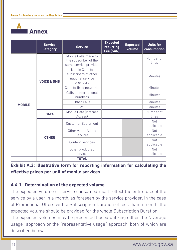**Annex A**

|               | <b>Service</b><br><b>Category</b> | <b>Service</b>                                                           | <b>Expected</b><br>recurring<br>Fee (SAR) | <b>Expected</b><br>volume | <b>Units for</b><br>consumption |
|---------------|-----------------------------------|--------------------------------------------------------------------------|-------------------------------------------|---------------------------|---------------------------------|
|               |                                   | Mobile Calls made to<br>the subscriber of the<br>same service provider   |                                           |                           | Number of<br>lines              |
|               | <b>VOICE &amp; SMS</b>            | Mobile Calls to<br>subscribers of other<br>national service<br>providers |                                           |                           | <b>Minutes</b>                  |
|               |                                   | Calls to fixed networks                                                  |                                           |                           | <b>Minutes</b>                  |
|               |                                   | Calls to International<br>numbers                                        |                                           |                           | <b>Minutes</b>                  |
|               |                                   | Other Calls                                                              |                                           |                           | <b>Minutes</b>                  |
| <b>MOBILE</b> |                                   | <b>SMS</b>                                                               |                                           |                           | Minutes                         |
|               | <b>DATA</b>                       | Mobile Data (Internet<br>Access)                                         |                                           |                           | Number of<br>lines              |
|               | <b>OTHER</b>                      | <b>Customer Equipment</b>                                                |                                           |                           | <b>Not</b><br>applicable        |
|               |                                   | Other Value-Added<br>Services                                            |                                           |                           | Not<br>applicable               |
|               |                                   | <b>Content Services</b>                                                  |                                           |                           | Not<br>applicable               |
|               |                                   | Other products /<br>services                                             |                                           |                           | Not<br>applicable               |
|               |                                   | <b>TOTAL</b>                                                             |                                           |                           |                                 |

#### **Exhibit A.3: Illustrative form for reporting information for calculating the effective prices per unit of mobile services**

#### **A.4.1. Determination of the expected volume**

The expected volume of service consumed must reflect the entire use of the service by a user in a month, as foreseen by the service provider. In the case of Promotional Offers with a Subscription Duration of less than a month, the expected volume should be provided for the whole Subscription Duration.

The expected volumes may be presented based utilizing either the "average usage" approach or the "representative usage" approach, both of which are described below: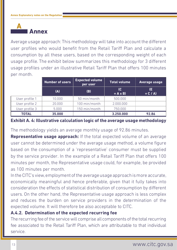

Average usage approach: This methodology will take into account the different user profiles who would benefit from the Retail Tariff Plan and calculate a consumption by all these users, based on the corresponding weight of each usage profile. The exhibit below summarizes this methodology for 3 different usage profiles under an illustrative Retail Tariff Plan that offers 100 minutes per month.

|                | <b>Number of users</b> | <b>Expected volume</b><br>per user | <b>Total volume</b>              | <b>Average usage</b> |
|----------------|------------------------|------------------------------------|----------------------------------|----------------------|
|                | (A)                    | (B)                                | $\overline{c}$<br>$= A \times B$ | (E<br>$= C / A$      |
| User profile 1 | 10.000                 | 50 min/month                       | 500.000                          |                      |
| User profile 2 | 20.000                 | 100 min/month                      | 2.000.000                        |                      |
| User profile 3 | 5.000                  | 150 min/month                      | 750.000                          |                      |
| <b>TOTAL</b>   | 35.000                 |                                    | 3.250.000                        | 92.86                |

**Exhibit A. 4: Illustrative calculation logic of the average usage methodology**

The methodology yields an average monthly usage of 92.86 minutes.

**Representative usage approach:** If the total expected volume of an average user cannot be determined under the average usage method, a volume figure based on the consumption of a 'representative' consumer must be supplied by the service provider. In the example of a Retail Tariff Plan that offers 100 minutes per month, the Representative usage could, for example, be provided as 100 minutes per month.

In the CITC's view, employment of the average usage approach is more accurate, economically meaningful and hence preferable, given that it fully takes into consideration the effects of statistical distribution of consumption by different users. On the other hand, the Representative usage approach is less complex and reduces the burden on service providers in the determination of the expected volume. It will therefore be also acceptable to CITC.

#### **A.4.2. Determination of the expected recurring fee**

The recurring fee of the service will comprise all components of the total recurring fee associated to the Retail Tariff Plan, which are attributable to that individual service.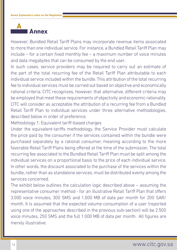

However, Bundled Retail Tariff Plans may incorporate revenue items associated to more than one individual service. For instance, a Bundled Retail Tariff Plan may include – for a certain fixed monthly fee – a maximum number of voice minutes and data megabytes that can be consumed by the end user.

In such cases, service providers may be required to carry out an estimate of the part of the total recurring fee of the Retail Tariff Plan attributable to each individual service included within the bundle. This attribution of the total recurring fee to individual services must be carried out based on objective and economically rational criteria. CITC recognizes, however, that alternative, different criteria may be employed that meet these requirements of objectivity and economic rationality. CITC will consider as acceptable the attribution of a recurring fee from a Bundled Retail Tariff Plan to individual services under three alternative methodologies, described below in order of preference.

Methodology 1: Equivalent tariff-based charges

Under the equivalent-tariffs methodology, the Service Provider must calculate the price paid by the consumer if the services contained within the bundle were purchased separately by a rational consumer, meaning according to the more favorable Retail Tariff Plans being offered at the time of the submission. The total recurring fee associated to the Bundled Retail Tariff Plan must be split among the individual services on a proportional basis to the price of each individual service. In other words, the discount associated to the purchase of the services within the bundle, rather than as standalone services, must be distributed evenly among the services concerned.

The exhibit below outlines the calculation logic described above – assuming the representative consumer method - for an illustrative Retail Tariff Plan that offers 3.000 voice minutes, 300 SMS and 1.000 MB of data per month for 200 SAR/ month. It is assumed that the expected volume consumption of a user (reported using one of the approaches described in the previous sub-section) will be 2.500 voice minutes, 250 SMS and the full 1.000 MB of data per month. All figures are merely illustrative.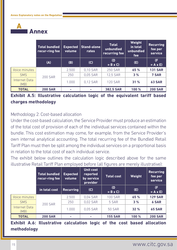

|                              | <b>Total bundled</b><br>recur-ring fee | <b>Expected</b><br>volume | Stand-alone<br>rates | <b>Total</b><br>unbundled<br>recurring fee | Weight<br>in total<br>unbundled<br>fee | <b>Recurring</b><br>fee per<br>service |
|------------------------------|----------------------------------------|---------------------------|----------------------|--------------------------------------------|----------------------------------------|----------------------------------------|
|                              | (A)                                    | (B)                       | (C)                  | (D)<br>$= B \times C$                      | (E)                                    | (F)<br>$= A \times E$                  |
| Voice minutes                |                                        | 2.500                     | 0,10 SAR             | <b>250 SAR</b>                             | 65 %                                   | <b>131 SAR</b>                         |
| <b>SMS</b>                   | <b>200 SAR</b>                         | 250                       | 0,05 SAR             | 12,5 SAR                                   | 3%                                     | 7 SAR                                  |
| <b>Internet Data</b><br>(MB) |                                        | 1.000                     | 0,12 SAR             | <b>120 SAR</b>                             | 31 %                                   | <b>63 SAR</b>                          |
| <b>TOTAL</b>                 | <b>200 SAR</b>                         |                           | o.                   | <b>382,5 SAR</b>                           | 100 %                                  | <b>200 SAR</b>                         |

**Exhibit A.5: Illustrative calculation logic of the equivalent tariff based charges methodology**

Methodology 2: Cost-based allocation

Under the cost-based calculation, the Service Provider must produce an estimation of the total cost of provision of each of the individual services contained within the bundle. This cost estimation may come, for example, from the Service Provider's own internal analytical accounting. The total recurring fee of the Bundled Retail Tariff Plan must then be split among the individual services on a proportional basis in relation to the total cost of each individual service.

The exhibit below outlines the calculation logic described above for the same illustrative Retail Tariff Plan employed before (all figures are merely illustrative):

|                              | <b>Total bundled</b><br>recur-ring fee | <b>Expected</b><br>volume | <b>Unit cost</b><br>reported<br>by service<br>provider | <b>Total cost</b>     | Weight | <b>Recurring</b><br>fee per<br>service |
|------------------------------|----------------------------------------|---------------------------|--------------------------------------------------------|-----------------------|--------|----------------------------------------|
|                              | in total cost                          | <b>Recurring</b>          | (C)                                                    | (D)<br>$= B \times C$ | (E)    | (F)<br>$= A \times E$                  |
| Voice minutes                | <b>200 SAR</b>                         | 2.500                     | 0,04 SAR                                               | <b>100 SAR</b>        | 65 %   | <b>129 SAR</b>                         |
| <b>SMS</b>                   |                                        | 250                       | 0,02 SAR                                               | 5 SAR                 | 3%     | <b>6 SAR</b>                           |
| <b>Internet Data</b><br>(MB) |                                        | 1.000                     | 0,05 SAR                                               | <b>50 SAR</b>         | 32 %   | <b>65 SAR</b>                          |
| <b>TOTAL</b>                 | <b>200 SAR</b>                         |                           | ۰                                                      | <b>155 SAR</b>        | 100 %  | <b>200 SAR</b>                         |

**Exhibit A.6: Illustrative calculation logic of the cost based allocation methodology**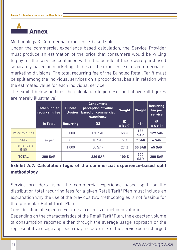

Methodology 3: Commercial experience-based split

Under the commercial experience-based calculation, the Service Provider must produce an estimation of the price that consumers would be willing to pay for the services contained within the bundle, if these were purchased separately, based on marketing studies or the experience of its commercial or marketing divisions. The total recurring fee of the Bundled Retail Tariff must be split among the individual services on a proportional basis in relation with the estimated value for each individual service.

The exhibit below outlines the calculation logic described above (all figures are merely illustrative):

|                              | <b>Total bundled</b><br>recur- ring fee | <b>Bundle</b><br><b>inclusion</b> | <b>Consumer's</b><br>perception of value<br>based on commercial<br>experience | Weight                | Weight            | <b>Recurring</b><br>fee per<br>service |
|------------------------------|-----------------------------------------|-----------------------------------|-------------------------------------------------------------------------------|-----------------------|-------------------|----------------------------------------|
|                              | in Total                                | <b>Recurring</b>                  | (C)                                                                           | (D)<br>$= B \times C$ | (E)               | (F)<br>$= A \times E$                  |
| Voice minutes                | fee per                                 | 3.000                             | <b>150 SAR</b>                                                                | 68 %                  | 136<br><b>SAR</b> | <b>129 SAR</b>                         |
| <b>SMS</b>                   |                                         | 300                               | <b>10 SAR</b>                                                                 | 5 %                   | 9 SAR             | <b>6 SAR</b>                           |
| <b>Internet Data</b><br>(MB) |                                         | 1.000                             | <b>60 SAR</b>                                                                 | 27%                   | <b>55 SAR</b>     | <b>65 SAR</b>                          |
| <b>TOTAL</b>                 | <b>200 SAR</b>                          |                                   | <b>220 SAR</b>                                                                | 100 %                 | 200<br><b>SAR</b> | <b>200 SAR</b>                         |

# **Exhibit A.7: Calculation logic of the commercial experience-based split methodology**

Service providers using the commercial-experience based split for the distribution total recurring fees for a given Retail Tariff Plan must include an explanation why the use of the previous two methodologies is not feasible for that particular Retail Tariff Plan.

Consideration of expected volumes in excess of included volumes

Depending on the characteristics of the Retail Tariff Plan, the expected volume of consumption reported either through the average usage approach or the representative usage approach may include units of the service being charged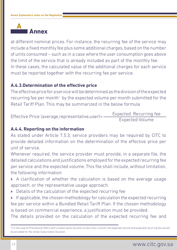

at different nominal prices. For instance, the recurring fee of the service may include a fixed monthly fee plus some additional charges, based on the number of units consumed – such as in a case where the user consumption goes above the limit of the service that is already included as part of the monthly fee. In these cases, the calculated value of the additional charges for each service must be reported together with the recurring fee per service.

#### **A.4.3.Determination of the effective price**

The effective price for a service will be determined as the division of the expected recurring fee per month<sup>1</sup> by the expected volume per month submitted for the Retail Tariff Plan. This may be summarized in the below formula

Effective Price (average,representative,user)= Expected Volume Expected Recurring fee

#### **A.4.4. Reporting on the information**

As stated under Article 7.5.3, service providers may be required by CITC to provide detailed information on the determination of the effective price per unit of service.

Whenever required, the service provider must provide, in a separate file, the detailed calculations and justifications employed for the expected recurring fee per service and the expected volume. This file shall include, without limitation, the following information:

- → A clarification of whether the calculation is based on the average usage approach, or the representative usage approach.
- → Details of the calculation of the expected recurring fee

→ If applicable, the chosen methodology for calculation the expected recurring fee per service within a Bundled Retail Tariff Plan. If the chosen methodology is based on commercial experience, a justification must be provided.

The details provided on the calculation of the expected recurring fee and

1) In the case of Promotional Offers with a Subscription Duration of less than a month, the expected volume and expected recurring fee should be provided for the whole Subscription Duration.